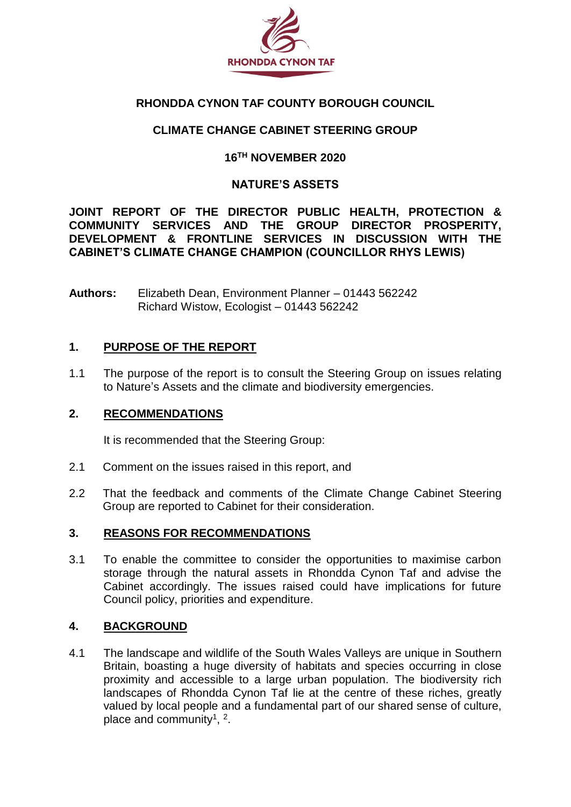

# **RHONDDA CYNON TAF COUNTY BOROUGH COUNCIL**

# **CLIMATE CHANGE CABINET STEERING GROUP**

# **16TH NOVEMBER 2020**

# **NATURE'S ASSETS**

**JOINT REPORT OF THE DIRECTOR PUBLIC HEALTH, PROTECTION & COMMUNITY SERVICES AND THE GROUP DIRECTOR PROSPERITY, DEVELOPMENT & FRONTLINE SERVICES IN DISCUSSION WITH THE CABINET'S CLIMATE CHANGE CHAMPION (COUNCILLOR RHYS LEWIS)**

**Authors:** Elizabeth Dean, Environment Planner – 01443 562242 Richard Wistow, Ecologist – 01443 562242

# **1. PURPOSE OF THE REPORT**

1.1 The purpose of the report is to consult the Steering Group on issues relating to Nature's Assets and the climate and biodiversity emergencies.

### **2. RECOMMENDATIONS**

It is recommended that the Steering Group:

- 2.1 Comment on the issues raised in this report, and
- 2.2 That the feedback and comments of the Climate Change Cabinet Steering Group are reported to Cabinet for their consideration.

### **3. REASONS FOR RECOMMENDATIONS**

3.1 To enable the committee to consider the opportunities to maximise carbon storage through the natural assets in Rhondda Cynon Taf and advise the Cabinet accordingly. The issues raised could have implications for future Council policy, priorities and expenditure.

# **4. BACKGROUND**

4.1 The landscape and wildlife of the South Wales Valleys are unique in Southern Britain, boasting a huge diversity of habitats and species occurring in close proximity and accessible to a large urban population. The biodiversity rich landscapes of Rhondda Cynon Taf lie at the centre of these riches, greatly valued by local people and a fundamental part of our shared sense of culture, place and community<sup>1</sup>,  $2$ .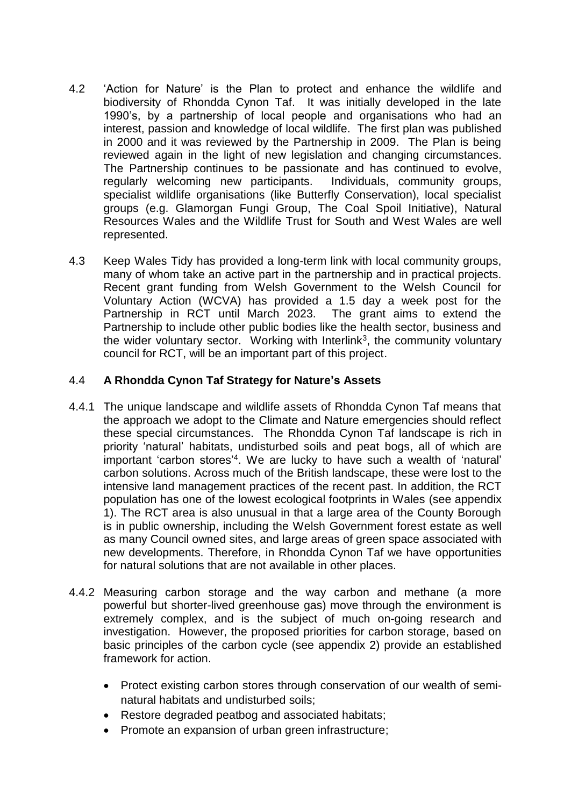- 4.2 'Action for Nature' is the Plan to protect and enhance the wildlife and biodiversity of Rhondda Cynon Taf. It was initially developed in the late 1990's, by a partnership of local people and organisations who had an interest, passion and knowledge of local wildlife. The first plan was published in 2000 and it was reviewed by the Partnership in 2009. The Plan is being reviewed again in the light of new legislation and changing circumstances. The Partnership continues to be passionate and has continued to evolve, regularly welcoming new participants. Individuals, community groups, specialist wildlife organisations (like Butterfly Conservation), local specialist groups (e.g. Glamorgan Fungi Group, The Coal Spoil Initiative), Natural Resources Wales and the Wildlife Trust for South and West Wales are well represented.
- 4.3 Keep Wales Tidy has provided a long-term link with local community groups, many of whom take an active part in the partnership and in practical projects. Recent grant funding from Welsh Government to the Welsh Council for Voluntary Action (WCVA) has provided a 1.5 day a week post for the Partnership in RCT until March 2023. The grant aims to extend the Partnership to include other public bodies like the health sector, business and the wider voluntary sector. Working with Interlink<sup>3</sup>, the community voluntary council for RCT, will be an important part of this project.

# 4.4 **A Rhondda Cynon Taf Strategy for Nature's Assets**

- 4.4.1 The unique landscape and wildlife assets of Rhondda Cynon Taf means that the approach we adopt to the Climate and Nature emergencies should reflect these special circumstances. The Rhondda Cynon Taf landscape is rich in priority 'natural' habitats, undisturbed soils and peat bogs, all of which are important 'carbon stores' 4 . We are lucky to have such a wealth of 'natural' carbon solutions. Across much of the British landscape, these were lost to the intensive land management practices of the recent past. In addition, the RCT population has one of the lowest ecological footprints in Wales (see appendix 1). The RCT area is also unusual in that a large area of the County Borough is in public ownership, including the Welsh Government forest estate as well as many Council owned sites, and large areas of green space associated with new developments. Therefore, in Rhondda Cynon Taf we have opportunities for natural solutions that are not available in other places.
- 4.4.2 Measuring carbon storage and the way carbon and methane (a more powerful but shorter-lived greenhouse gas) move through the environment is extremely complex, and is the subject of much on-going research and investigation. However, the proposed priorities for carbon storage, based on basic principles of the carbon cycle (see appendix 2) provide an established framework for action.
	- Protect existing carbon stores through conservation of our wealth of seminatural habitats and undisturbed soils;
	- Restore degraded peatbog and associated habitats;
	- Promote an expansion of urban green infrastructure;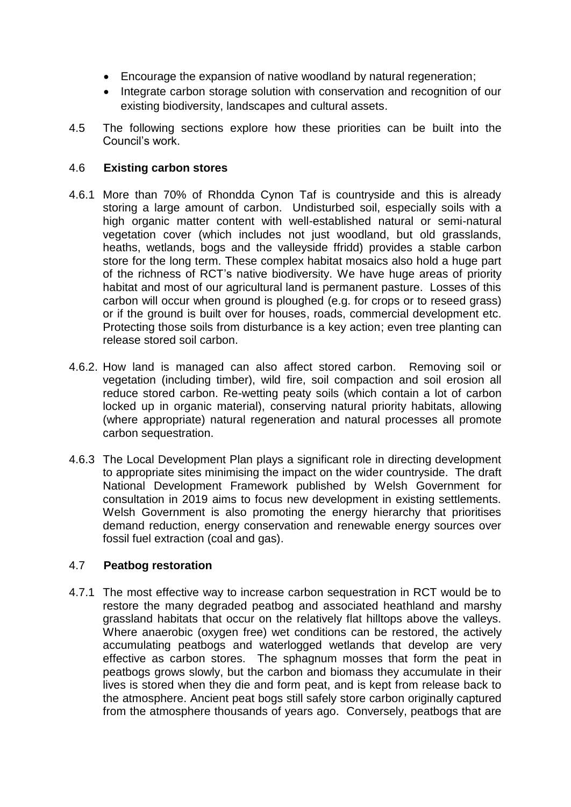- Encourage the expansion of native woodland by natural regeneration;
- Integrate carbon storage solution with conservation and recognition of our existing biodiversity, landscapes and cultural assets.
- 4.5 The following sections explore how these priorities can be built into the Council's work.

## 4.6 **Existing carbon stores**

- 4.6.1 More than 70% of Rhondda Cynon Taf is countryside and this is already storing a large amount of carbon. Undisturbed soil, especially soils with a high organic matter content with well-established natural or semi-natural vegetation cover (which includes not just woodland, but old grasslands, heaths, wetlands, bogs and the valleyside ffridd) provides a stable carbon store for the long term. These complex habitat mosaics also hold a huge part of the richness of RCT's native biodiversity. We have huge areas of priority habitat and most of our agricultural land is permanent pasture. Losses of this carbon will occur when ground is ploughed (e.g. for crops or to reseed grass) or if the ground is built over for houses, roads, commercial development etc. Protecting those soils from disturbance is a key action; even tree planting can release stored soil carbon.
- 4.6.2. How land is managed can also affect stored carbon. Removing soil or vegetation (including timber), wild fire, soil compaction and soil erosion all reduce stored carbon. Re-wetting peaty soils (which contain a lot of carbon locked up in organic material), conserving natural priority habitats, allowing (where appropriate) natural regeneration and natural processes all promote carbon sequestration.
- 4.6.3 The Local Development Plan plays a significant role in directing development to appropriate sites minimising the impact on the wider countryside. The draft National Development Framework published by Welsh Government for consultation in 2019 aims to focus new development in existing settlements. Welsh Government is also promoting the energy hierarchy that prioritises demand reduction, energy conservation and renewable energy sources over fossil fuel extraction (coal and gas).

### 4.7 **Peatbog restoration**

4.7.1 The most effective way to increase carbon sequestration in RCT would be to restore the many degraded peatbog and associated heathland and marshy grassland habitats that occur on the relatively flat hilltops above the valleys. Where anaerobic (oxygen free) wet conditions can be restored, the actively accumulating peatbogs and waterlogged wetlands that develop are very effective as carbon stores. The sphagnum mosses that form the peat in peatbogs grows slowly, but the carbon and biomass they accumulate in their lives is stored when they die and form peat, and is kept from release back to the atmosphere. Ancient peat bogs still safely store carbon originally captured from the atmosphere thousands of years ago. Conversely, peatbogs that are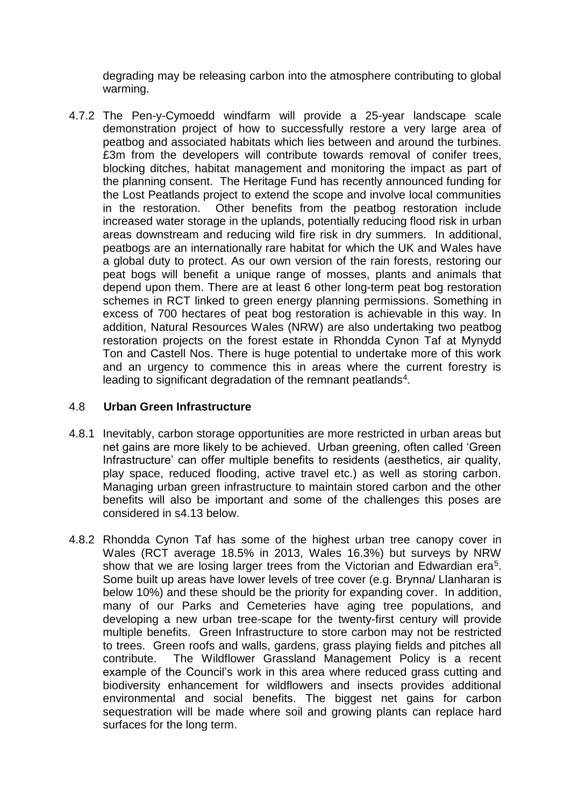degrading may be releasing carbon into the atmosphere contributing to global warming.

4.7.2 The Pen-y-Cymoedd windfarm will provide a 25-year landscape scale demonstration project of how to successfully restore a very large area of peatbog and associated habitats which lies between and around the turbines. £3m from the developers will contribute towards removal of conifer trees, blocking ditches, habitat management and monitoring the impact as part of the planning consent. The Heritage Fund has recently announced funding for the Lost Peatlands project to extend the scope and involve local communities in the restoration. Other benefits from the peatbog restoration include increased water storage in the uplands, potentially reducing flood risk in urban areas downstream and reducing wild fire risk in dry summers. In additional, peatbogs are an internationally rare habitat for which the UK and Wales have a global duty to protect. As our own version of the rain forests, restoring our peat bogs will benefit a unique range of mosses, plants and animals that depend upon them. There are at least 6 other long-term peat bog restoration schemes in RCT linked to green energy planning permissions. Something in excess of 700 hectares of peat bog restoration is achievable in this way. In addition, Natural Resources Wales (NRW) are also undertaking two peatbog restoration projects on the forest estate in Rhondda Cynon Taf at Mynydd Ton and Castell Nos. There is huge potential to undertake more of this work and an urgency to commence this in areas where the current forestry is leading to significant degradation of the remnant peatlands<sup>4</sup>.

### 4.8 **Urban Green Infrastructure**

- 4.8.1 Inevitably, carbon storage opportunities are more restricted in urban areas but net gains are more likely to be achieved. Urban greening, often called 'Green Infrastructure' can offer multiple benefits to residents (aesthetics, air quality, play space, reduced flooding, active travel etc.) as well as storing carbon. Managing urban green infrastructure to maintain stored carbon and the other benefits will also be important and some of the challenges this poses are considered in s4.13 below.
- 4.8.2 Rhondda Cynon Taf has some of the highest urban tree canopy cover in Wales (RCT average 18.5% in 2013, Wales 16.3%) but surveys by NRW show that we are losing larger trees from the Victorian and Edwardian era<sup>5</sup>. Some built up areas have lower levels of tree cover (e.g. Brynna/ Llanharan is below 10%) and these should be the priority for expanding cover. In addition, many of our Parks and Cemeteries have aging tree populations, and developing a new urban tree-scape for the twenty-first century will provide multiple benefits. Green Infrastructure to store carbon may not be restricted to trees. Green roofs and walls, gardens, grass playing fields and pitches all contribute. The Wildflower Grassland Management Policy is a recent example of the Council's work in this area where reduced grass cutting and biodiversity enhancement for wildflowers and insects provides additional environmental and social benefits. The biggest net gains for carbon sequestration will be made where soil and growing plants can replace hard surfaces for the long term.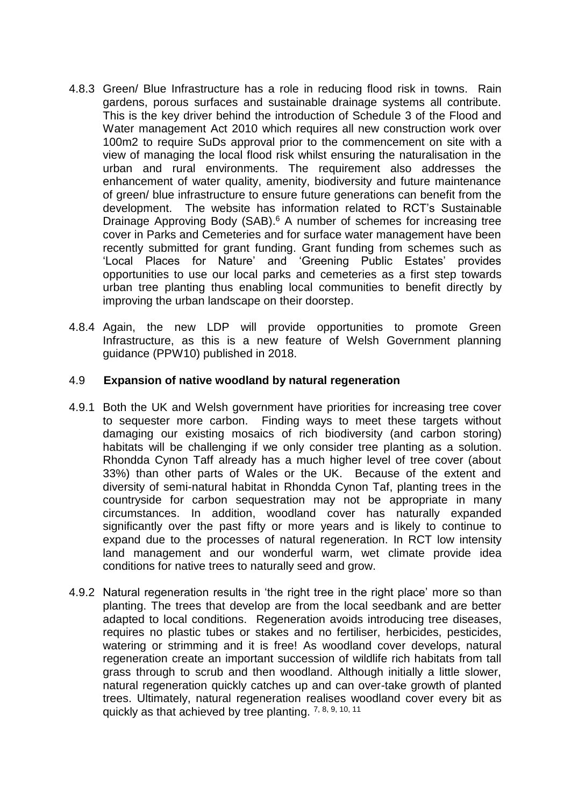- 4.8.3 Green/ Blue Infrastructure has a role in reducing flood risk in towns. Rain gardens, porous surfaces and sustainable drainage systems all contribute. This is the key driver behind the introduction of Schedule 3 of the Flood and Water management Act 2010 which requires all new construction work over 100m2 to require SuDs approval prior to the commencement on site with a view of managing the local flood risk whilst ensuring the naturalisation in the urban and rural environments. The requirement also addresses the enhancement of water quality, amenity, biodiversity and future maintenance of green/ blue infrastructure to ensure future generations can benefit from the development. The website has information related to RCT's Sustainable Drainage Approving Body (SAB). <sup>6</sup> A number of schemes for increasing tree cover in Parks and Cemeteries and for surface water management have been recently submitted for grant funding. Grant funding from schemes such as 'Local Places for Nature' and 'Greening Public Estates' provides opportunities to use our local parks and cemeteries as a first step towards urban tree planting thus enabling local communities to benefit directly by improving the urban landscape on their doorstep.
- 4.8.4 Again, the new LDP will provide opportunities to promote Green Infrastructure, as this is a new feature of Welsh Government planning guidance (PPW10) published in 2018.

### 4.9 **Expansion of native woodland by natural regeneration**

- 4.9.1 Both the UK and Welsh government have priorities for increasing tree cover to sequester more carbon. Finding ways to meet these targets without damaging our existing mosaics of rich biodiversity (and carbon storing) habitats will be challenging if we only consider tree planting as a solution. Rhondda Cynon Taff already has a much higher level of tree cover (about 33%) than other parts of Wales or the UK. Because of the extent and diversity of semi-natural habitat in Rhondda Cynon Taf, planting trees in the countryside for carbon sequestration may not be appropriate in many circumstances. In addition, woodland cover has naturally expanded significantly over the past fifty or more years and is likely to continue to expand due to the processes of natural regeneration. In RCT low intensity land management and our wonderful warm, wet climate provide idea conditions for native trees to naturally seed and grow.
- 4.9.2 Natural regeneration results in 'the right tree in the right place' more so than planting. The trees that develop are from the local seedbank and are better adapted to local conditions. Regeneration avoids introducing tree diseases, requires no plastic tubes or stakes and no fertiliser, herbicides, pesticides, watering or strimming and it is free! As woodland cover develops, natural regeneration create an important succession of wildlife rich habitats from tall grass through to scrub and then woodland. Although initially a little slower, natural regeneration quickly catches up and can over-take growth of planted trees. Ultimately, natural regeneration realises woodland cover every bit as quickly as that achieved by tree planting. 7, 8, 9, 10, 11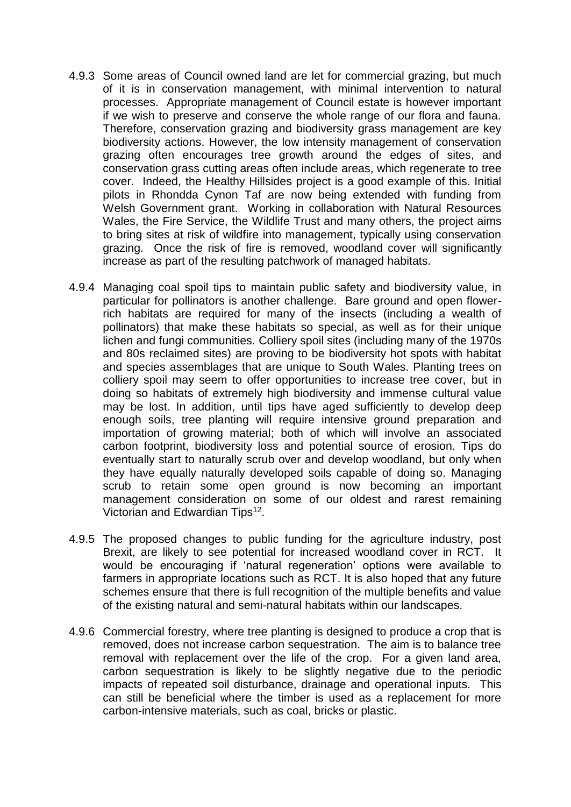- 4.9.3 Some areas of Council owned land are let for commercial grazing, but much of it is in conservation management, with minimal intervention to natural processes. Appropriate management of Council estate is however important if we wish to preserve and conserve the whole range of our flora and fauna. Therefore, conservation grazing and biodiversity grass management are key biodiversity actions. However, the low intensity management of conservation grazing often encourages tree growth around the edges of sites, and conservation grass cutting areas often include areas, which regenerate to tree cover. Indeed, the Healthy Hillsides project is a good example of this. Initial pilots in Rhondda Cynon Taf are now being extended with funding from Welsh Government grant. Working in collaboration with Natural Resources Wales, the Fire Service, the Wildlife Trust and many others, the project aims to bring sites at risk of wildfire into management, typically using conservation grazing. Once the risk of fire is removed, woodland cover will significantly increase as part of the resulting patchwork of managed habitats.
- 4.9.4 Managing coal spoil tips to maintain public safety and biodiversity value, in particular for pollinators is another challenge. Bare ground and open flowerrich habitats are required for many of the insects (including a wealth of pollinators) that make these habitats so special, as well as for their unique lichen and fungi communities. Colliery spoil sites (including many of the 1970s and 80s reclaimed sites) are proving to be biodiversity hot spots with habitat and species assemblages that are unique to South Wales. Planting trees on colliery spoil may seem to offer opportunities to increase tree cover, but in doing so habitats of extremely high biodiversity and immense cultural value may be lost. In addition, until tips have aged sufficiently to develop deep enough soils, tree planting will require intensive ground preparation and importation of growing material; both of which will involve an associated carbon footprint, biodiversity loss and potential source of erosion. Tips do eventually start to naturally scrub over and develop woodland, but only when they have equally naturally developed soils capable of doing so. Managing scrub to retain some open ground is now becoming an important management consideration on some of our oldest and rarest remaining Victorian and Edwardian Tips<sup>12</sup>.
- 4.9.5 The proposed changes to public funding for the agriculture industry, post Brexit, are likely to see potential for increased woodland cover in RCT. It would be encouraging if 'natural regeneration' options were available to farmers in appropriate locations such as RCT. It is also hoped that any future schemes ensure that there is full recognition of the multiple benefits and value of the existing natural and semi-natural habitats within our landscapes.
- 4.9.6 Commercial forestry, where tree planting is designed to produce a crop that is removed, does not increase carbon sequestration. The aim is to balance tree removal with replacement over the life of the crop. For a given land area, carbon sequestration is likely to be slightly negative due to the periodic impacts of repeated soil disturbance, drainage and operational inputs. This can still be beneficial where the timber is used as a replacement for more carbon-intensive materials, such as coal, bricks or plastic.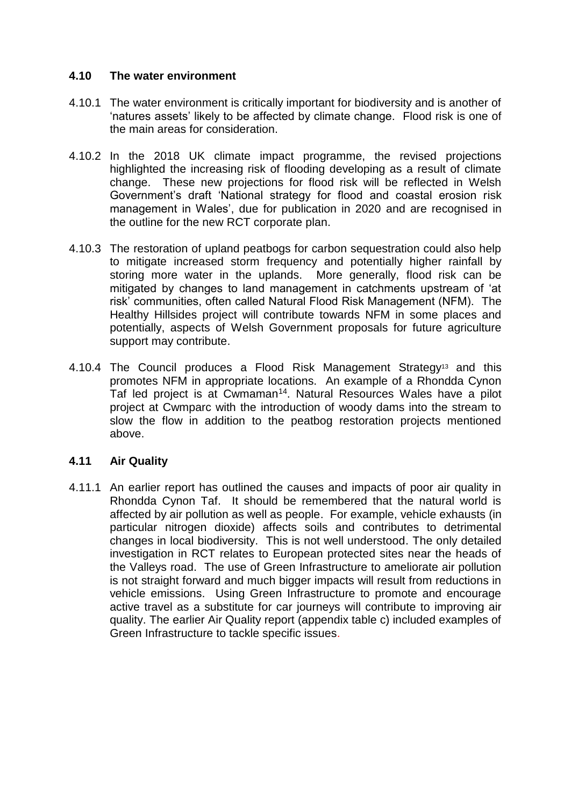## **4.10 The water environment**

- 4.10.1 The water environment is critically important for biodiversity and is another of 'natures assets' likely to be affected by climate change. Flood risk is one of the main areas for consideration.
- 4.10.2 In the 2018 UK climate impact programme, the revised projections highlighted the increasing risk of flooding developing as a result of climate change. These new projections for flood risk will be reflected in Welsh Government's draft 'National strategy for flood and coastal erosion risk management in Wales', due for publication in 2020 and are recognised in the outline for the new RCT corporate plan.
- 4.10.3 The restoration of upland peatbogs for carbon sequestration could also help to mitigate increased storm frequency and potentially higher rainfall by storing more water in the uplands. More generally, flood risk can be mitigated by changes to land management in catchments upstream of 'at risk' communities, often called Natural Flood Risk Management (NFM). The Healthy Hillsides project will contribute towards NFM in some places and potentially, aspects of Welsh Government proposals for future agriculture support may contribute.
- 4.10.4 The Council produces a Flood Risk Management Strategy<sup>13</sup> and this promotes NFM in appropriate locations. An example of a Rhondda Cynon Taf led project is at Cwmaman<sup>14</sup>. Natural Resources Wales have a pilot project at Cwmparc with the introduction of woody dams into the stream to slow the flow in addition to the peatbog restoration projects mentioned above.

### **4.11 Air Quality**

4.11.1 An earlier report has outlined the causes and impacts of poor air quality in Rhondda Cynon Taf. It should be remembered that the natural world is affected by air pollution as well as people. For example, vehicle exhausts (in particular nitrogen dioxide) affects soils and contributes to detrimental changes in local biodiversity. This is not well understood. The only detailed investigation in RCT relates to European protected sites near the heads of the Valleys road. The use of Green Infrastructure to ameliorate air pollution is not straight forward and much bigger impacts will result from reductions in vehicle emissions. Using Green Infrastructure to promote and encourage active travel as a substitute for car journeys will contribute to improving air quality. The earlier Air Quality report (appendix table c) included examples of Green Infrastructure to tackle specific issues.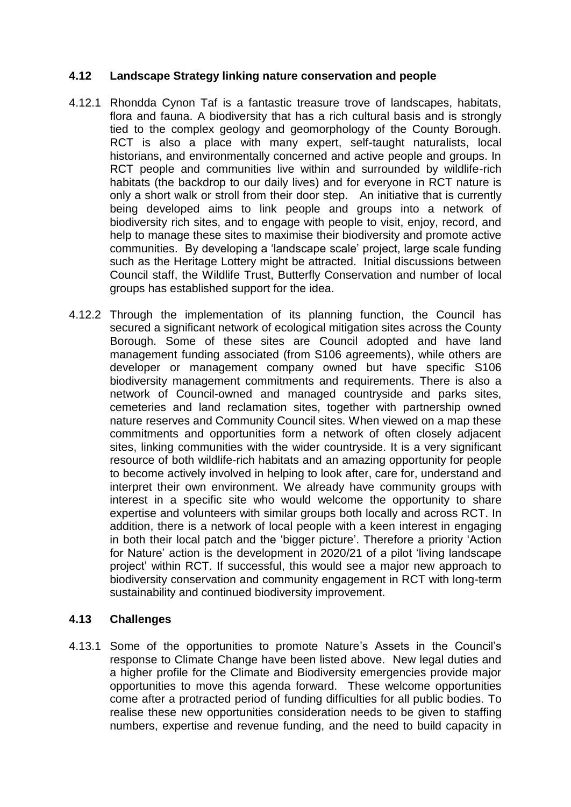# **4.12 Landscape Strategy linking nature conservation and people**

- 4.12.1 Rhondda Cynon Taf is a fantastic treasure trove of landscapes, habitats, flora and fauna. A biodiversity that has a rich cultural basis and is strongly tied to the complex geology and geomorphology of the County Borough. RCT is also a place with many expert, self-taught naturalists, local historians, and environmentally concerned and active people and groups. In RCT people and communities live within and surrounded by wildlife-rich habitats (the backdrop to our daily lives) and for everyone in RCT nature is only a short walk or stroll from their door step. An initiative that is currently being developed aims to link people and groups into a network of biodiversity rich sites, and to engage with people to visit, enjoy, record, and help to manage these sites to maximise their biodiversity and promote active communities. By developing a 'landscape scale' project, large scale funding such as the Heritage Lottery might be attracted. Initial discussions between Council staff, the Wildlife Trust, Butterfly Conservation and number of local groups has established support for the idea.
- 4.12.2 Through the implementation of its planning function, the Council has secured a significant network of ecological mitigation sites across the County Borough. Some of these sites are Council adopted and have land management funding associated (from S106 agreements), while others are developer or management company owned but have specific S106 biodiversity management commitments and requirements. There is also a network of Council-owned and managed countryside and parks sites, cemeteries and land reclamation sites, together with partnership owned nature reserves and Community Council sites. When viewed on a map these commitments and opportunities form a network of often closely adjacent sites, linking communities with the wider countryside. It is a very significant resource of both wildlife-rich habitats and an amazing opportunity for people to become actively involved in helping to look after, care for, understand and interpret their own environment. We already have community groups with interest in a specific site who would welcome the opportunity to share expertise and volunteers with similar groups both locally and across RCT. In addition, there is a network of local people with a keen interest in engaging in both their local patch and the 'bigger picture'. Therefore a priority 'Action for Nature' action is the development in 2020/21 of a pilot 'living landscape project' within RCT. If successful, this would see a major new approach to biodiversity conservation and community engagement in RCT with long-term sustainability and continued biodiversity improvement.

# **4.13 Challenges**

4.13.1 Some of the opportunities to promote Nature's Assets in the Council's response to Climate Change have been listed above. New legal duties and a higher profile for the Climate and Biodiversity emergencies provide major opportunities to move this agenda forward. These welcome opportunities come after a protracted period of funding difficulties for all public bodies. To realise these new opportunities consideration needs to be given to staffing numbers, expertise and revenue funding, and the need to build capacity in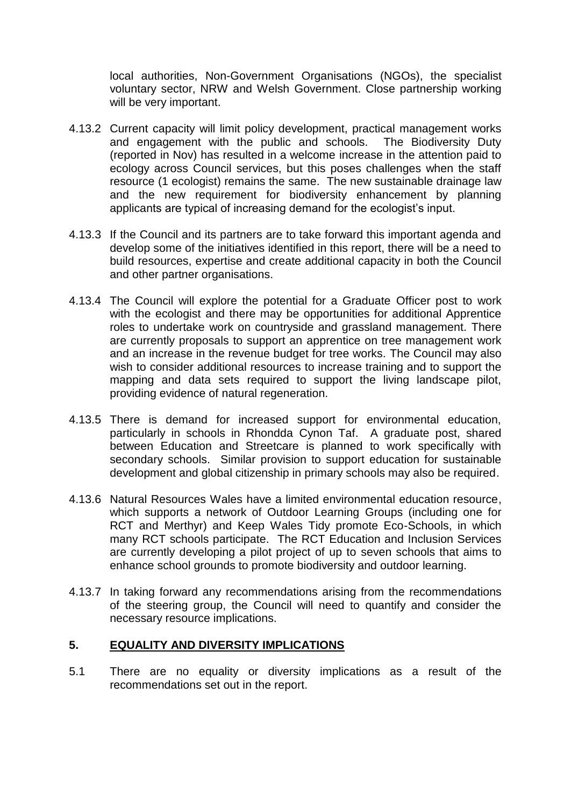local authorities, Non-Government Organisations (NGOs), the specialist voluntary sector, NRW and Welsh Government. Close partnership working will be very important.

- 4.13.2 Current capacity will limit policy development, practical management works and engagement with the public and schools. The Biodiversity Duty (reported in Nov) has resulted in a welcome increase in the attention paid to ecology across Council services, but this poses challenges when the staff resource (1 ecologist) remains the same. The new sustainable drainage law and the new requirement for biodiversity enhancement by planning applicants are typical of increasing demand for the ecologist's input.
- 4.13.3 If the Council and its partners are to take forward this important agenda and develop some of the initiatives identified in this report, there will be a need to build resources, expertise and create additional capacity in both the Council and other partner organisations.
- 4.13.4 The Council will explore the potential for a Graduate Officer post to work with the ecologist and there may be opportunities for additional Apprentice roles to undertake work on countryside and grassland management. There are currently proposals to support an apprentice on tree management work and an increase in the revenue budget for tree works. The Council may also wish to consider additional resources to increase training and to support the mapping and data sets required to support the living landscape pilot, providing evidence of natural regeneration.
- 4.13.5 There is demand for increased support for environmental education, particularly in schools in Rhondda Cynon Taf. A graduate post, shared between Education and Streetcare is planned to work specifically with secondary schools. Similar provision to support education for sustainable development and global citizenship in primary schools may also be required.
- 4.13.6 Natural Resources Wales have a limited environmental education resource, which supports a network of Outdoor Learning Groups (including one for RCT and Merthyr) and Keep Wales Tidy promote Eco-Schools, in which many RCT schools participate. The RCT Education and Inclusion Services are currently developing a pilot project of up to seven schools that aims to enhance school grounds to promote biodiversity and outdoor learning.
- 4.13.7 In taking forward any recommendations arising from the recommendations of the steering group, the Council will need to quantify and consider the necessary resource implications.

## **5. EQUALITY AND DIVERSITY IMPLICATIONS**

5.1 There are no equality or diversity implications as a result of the recommendations set out in the report.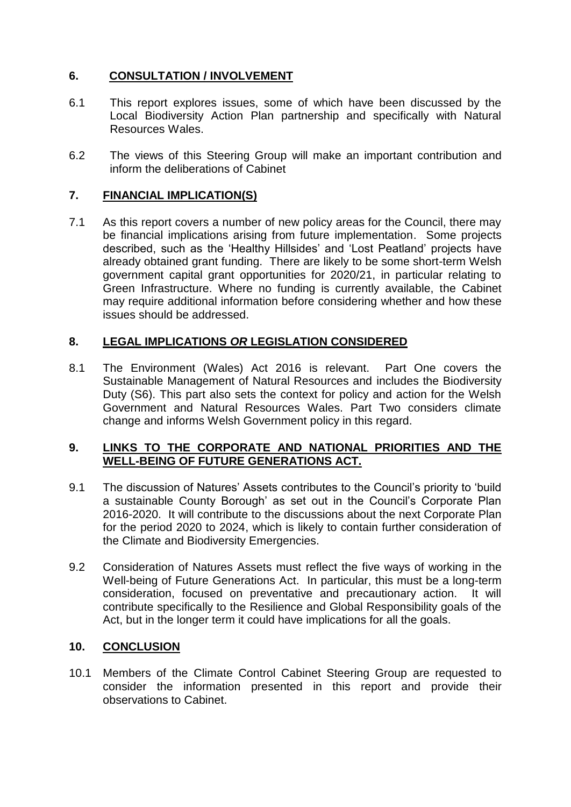# **6. CONSULTATION / INVOLVEMENT**

- 6.1 This report explores issues, some of which have been discussed by the Local Biodiversity Action Plan partnership and specifically with Natural Resources Wales.
- 6.2 The views of this Steering Group will make an important contribution and inform the deliberations of Cabinet

### **7. FINANCIAL IMPLICATION(S)**

7.1 As this report covers a number of new policy areas for the Council, there may be financial implications arising from future implementation. Some projects described, such as the 'Healthy Hillsides' and 'Lost Peatland' projects have already obtained grant funding. There are likely to be some short-term Welsh government capital grant opportunities for 2020/21, in particular relating to Green Infrastructure. Where no funding is currently available, the Cabinet may require additional information before considering whether and how these issues should be addressed.

# **8. LEGAL IMPLICATIONS** *OR* **LEGISLATION CONSIDERED**

8.1 The Environment (Wales) Act 2016 is relevant. Part One covers the Sustainable Management of Natural Resources and includes the Biodiversity Duty (S6). This part also sets the context for policy and action for the Welsh Government and Natural Resources Wales. Part Two considers climate change and informs Welsh Government policy in this regard.

# **9. LINKS TO THE CORPORATE AND NATIONAL PRIORITIES AND THE WELL-BEING OF FUTURE GENERATIONS ACT.**

- 9.1 The discussion of Natures' Assets contributes to the Council's priority to 'build a sustainable County Borough' as set out in the Council's Corporate Plan 2016-2020. It will contribute to the discussions about the next Corporate Plan for the period 2020 to 2024, which is likely to contain further consideration of the Climate and Biodiversity Emergencies.
- 9.2 Consideration of Natures Assets must reflect the five ways of working in the Well-being of Future Generations Act. In particular, this must be a long-term consideration, focused on preventative and precautionary action. It will contribute specifically to the Resilience and Global Responsibility goals of the Act, but in the longer term it could have implications for all the goals.

### **10. CONCLUSION**

10.1 Members of the Climate Control Cabinet Steering Group are requested to consider the information presented in this report and provide their observations to Cabinet.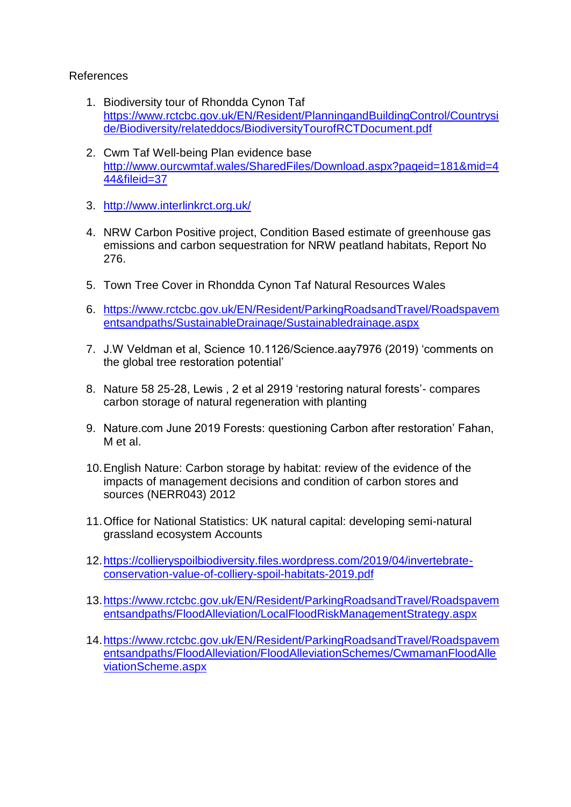# References

- 1. Biodiversity tour of Rhondda Cynon Taf [https://www.rctcbc.gov.uk/EN/Resident/PlanningandBuildingControl/Countrysi](https://www.rctcbc.gov.uk/EN/Resident/PlanningandBuildingControl/Countryside/Biodiversity/relateddocs/BiodiversityTourofRCTDocument.pdf) [de/Biodiversity/relateddocs/BiodiversityTourofRCTDocument.pdf](https://www.rctcbc.gov.uk/EN/Resident/PlanningandBuildingControl/Countryside/Biodiversity/relateddocs/BiodiversityTourofRCTDocument.pdf)
- 2. Cwm Taf Well-being Plan evidence base [http://www.ourcwmtaf.wales/SharedFiles/Download.aspx?pageid=181&mid=4](http://www.ourcwmtaf.wales/SharedFiles/Download.aspx?pageid=181&mid=444&fileid=37) [44&fileid=37](http://www.ourcwmtaf.wales/SharedFiles/Download.aspx?pageid=181&mid=444&fileid=37)
- 3. <http://www.interlinkrct.org.uk/>
- 4. NRW Carbon Positive project, Condition Based estimate of greenhouse gas emissions and carbon sequestration for NRW peatland habitats, Report No 276.
- 5. Town Tree Cover in Rhondda Cynon Taf Natural Resources Wales
- 6. [https://www.rctcbc.gov.uk/EN/Resident/ParkingRoadsandTravel/Roadspavem](https://www.rctcbc.gov.uk/EN/Resident/ParkingRoadsandTravel/Roadspavementsandpaths/SustainableDrainage/Sustainabledrainage.aspx) [entsandpaths/SustainableDrainage/Sustainabledrainage.aspx](https://www.rctcbc.gov.uk/EN/Resident/ParkingRoadsandTravel/Roadspavementsandpaths/SustainableDrainage/Sustainabledrainage.aspx)
- 7. J.W Veldman et al, Science 10.1126/Science.aay7976 (2019) 'comments on the global tree restoration potential'
- 8. Nature 58 25-28, Lewis , 2 et al 2919 'restoring natural forests'- compares carbon storage of natural regeneration with planting
- 9. Nature.com June 2019 Forests: questioning Carbon after restoration' Fahan, M et al.
- 10.English Nature: Carbon storage by habitat: review of the evidence of the impacts of management decisions and condition of carbon stores and sources (NERR043) 2012
- 11.Office for National Statistics: UK natural capital: developing semi-natural grassland ecosystem Accounts
- [12.https://collieryspoilbiodiversity.files.wordpress.com/2019/04/invertebrate](https://collieryspoilbiodiversity.files.wordpress.com/2019/04/invertebrate-conservation-value-of-colliery-spoil-habitats-2019.pdf)[conservation-value-of-colliery-spoil-habitats-2019.pdf](https://collieryspoilbiodiversity.files.wordpress.com/2019/04/invertebrate-conservation-value-of-colliery-spoil-habitats-2019.pdf)
- [13.https://www.rctcbc.gov.uk/EN/Resident/ParkingRoadsandTravel/Roadspavem](https://www.rctcbc.gov.uk/EN/Resident/ParkingRoadsandTravel/Roadspavementsandpaths/FloodAlleviation/LocalFloodRiskManagementStrategy.aspx) [entsandpaths/FloodAlleviation/LocalFloodRiskManagementStrategy.aspx](https://www.rctcbc.gov.uk/EN/Resident/ParkingRoadsandTravel/Roadspavementsandpaths/FloodAlleviation/LocalFloodRiskManagementStrategy.aspx)
- [14.https://www.rctcbc.gov.uk/EN/Resident/ParkingRoadsandTravel/Roadspavem](https://www.rctcbc.gov.uk/EN/Resident/ParkingRoadsandTravel/Roadspavementsandpaths/FloodAlleviation/FloodAlleviationSchemes/CwmamanFloodAlleviationScheme.aspx) [entsandpaths/FloodAlleviation/FloodAlleviationSchemes/CwmamanFloodAlle](https://www.rctcbc.gov.uk/EN/Resident/ParkingRoadsandTravel/Roadspavementsandpaths/FloodAlleviation/FloodAlleviationSchemes/CwmamanFloodAlleviationScheme.aspx) [viationScheme.aspx](https://www.rctcbc.gov.uk/EN/Resident/ParkingRoadsandTravel/Roadspavementsandpaths/FloodAlleviation/FloodAlleviationSchemes/CwmamanFloodAlleviationScheme.aspx)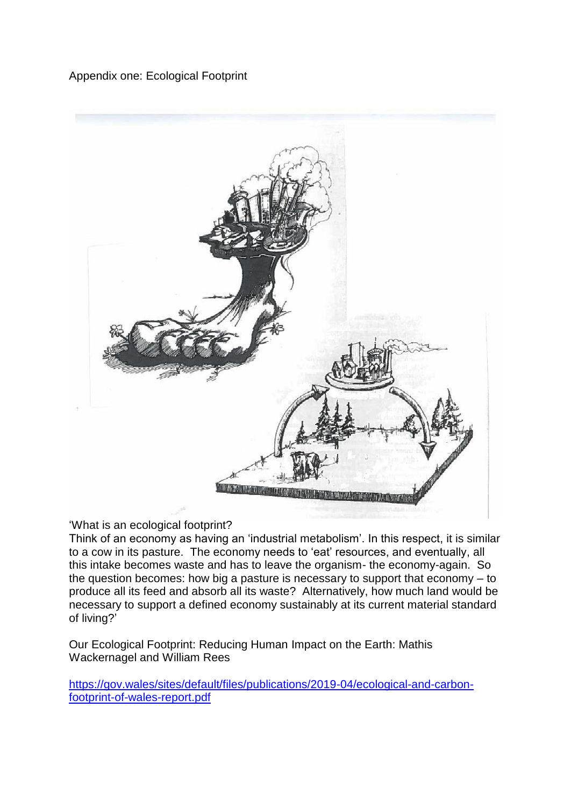# Appendix one: Ecological Footprint



## 'What is an ecological footprint?

Think of an economy as having an 'industrial metabolism'. In this respect, it is similar to a cow in its pasture. The economy needs to 'eat' resources, and eventually, all this intake becomes waste and has to leave the organism- the economy-again. So the question becomes: how big a pasture is necessary to support that economy – to produce all its feed and absorb all its waste? Alternatively, how much land would be necessary to support a defined economy sustainably at its current material standard of living?'

Our Ecological Footprint: Reducing Human Impact on the Earth: Mathis Wackernagel and William Rees

[https://gov.wales/sites/default/files/publications/2019-04/ecological-and-carbon](https://gov.wales/sites/default/files/publications/2019-04/ecological-and-carbon-footprint-of-wales-report.pdf)[footprint-of-wales-report.pdf](https://gov.wales/sites/default/files/publications/2019-04/ecological-and-carbon-footprint-of-wales-report.pdf)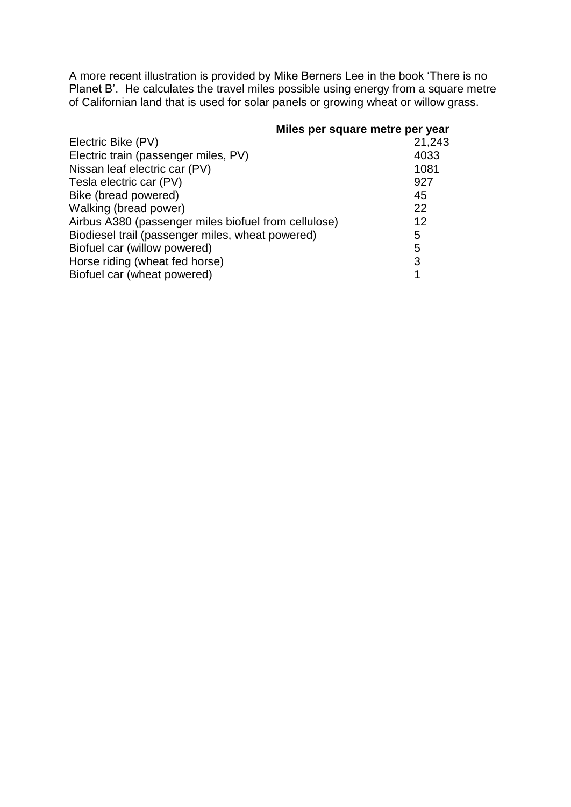A more recent illustration is provided by Mike Berners Lee in the book 'There is no Planet B'. He calculates the travel miles possible using energy from a square metre of Californian land that is used for solar panels or growing wheat or willow grass.

#### **Miles per square metre per year**

| Electric Bike (PV)                                   | 21,243 |
|------------------------------------------------------|--------|
| Electric train (passenger miles, PV)                 | 4033   |
| Nissan leaf electric car (PV)                        | 1081   |
| Tesla electric car (PV)                              | 927    |
| Bike (bread powered)                                 | 45     |
| Walking (bread power)                                | 22     |
| Airbus A380 (passenger miles biofuel from cellulose) | 12     |
| Biodiesel trail (passenger miles, wheat powered)     | 5      |
| Biofuel car (willow powered)                         | 5      |
| Horse riding (wheat fed horse)                       | 3      |
| Biofuel car (wheat powered)                          | 1      |
|                                                      |        |